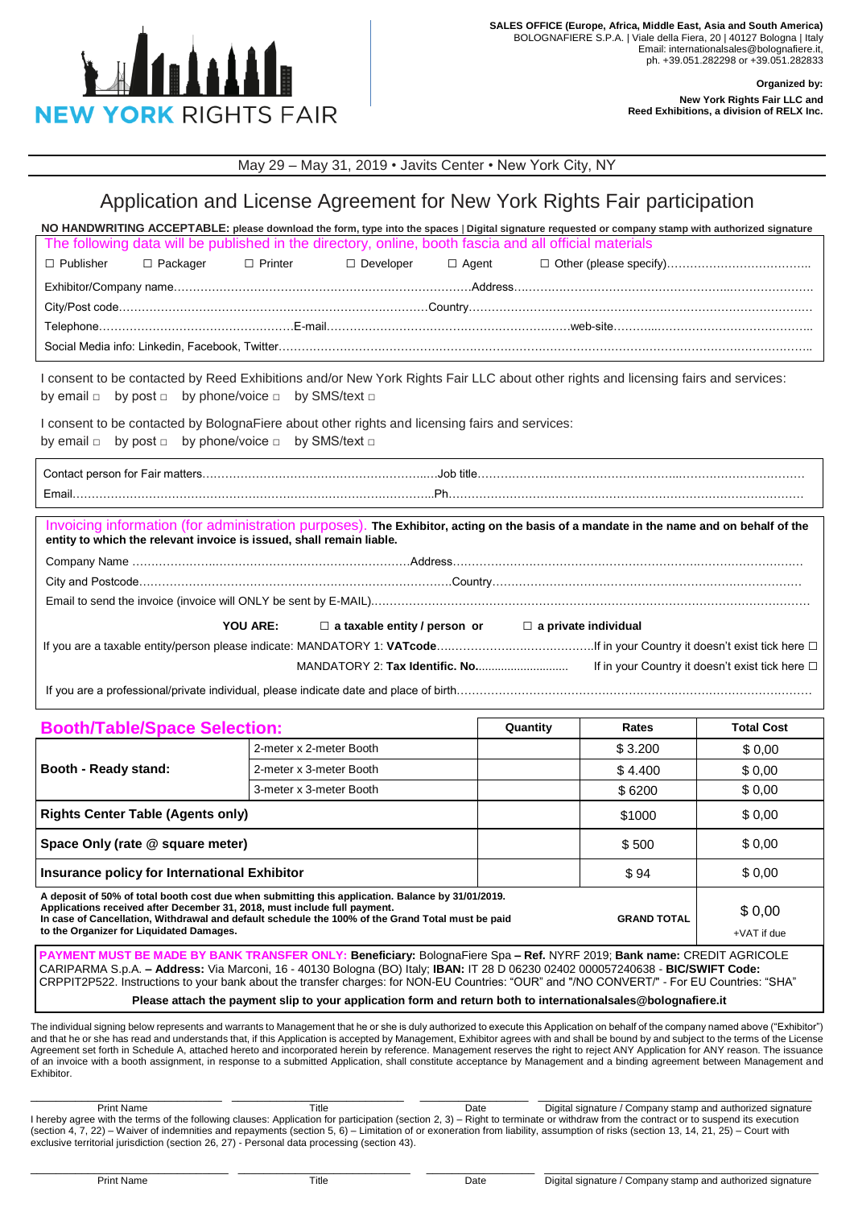

## **Organized by:**

**New York Rights Fair LLC and Reed Exhibitions, a division of RELX Inc.**

May 29 – May 31, 2019 • Javits Center • New York City, NY

## Application and License Agreement for New York Rights Fair participation

| NO HANDWRITING ACCEPTABLE: please download the form, type into the spaces   Digital signature requested or company stamp with authorized signature |  |  |  |  |  |  |  |  |
|----------------------------------------------------------------------------------------------------------------------------------------------------|--|--|--|--|--|--|--|--|
| The following data will be published in the directory, online, booth fascia and all official materials                                             |  |  |  |  |  |  |  |  |
|                                                                                                                                                    |  |  |  |  |  |  |  |  |
|                                                                                                                                                    |  |  |  |  |  |  |  |  |
|                                                                                                                                                    |  |  |  |  |  |  |  |  |
|                                                                                                                                                    |  |  |  |  |  |  |  |  |
|                                                                                                                                                    |  |  |  |  |  |  |  |  |
|                                                                                                                                                    |  |  |  |  |  |  |  |  |

I consent to be contacted by Reed Exhibitions and/or New York Rights Fair LLC about other rights and licensing fairs and services: by email □ by post □ by phone/voice □ by SMS/text □

I consent to be contacted by BolognaFiere about other rights and licensing fairs and services: by email □ by post □ by phone/voice □ by SMS/text □

Contact person for Fair matters…………………………………………………..…Job title……………………………………………..…………………………… Email…………………………………………………………………………………..Ph…………………………………………………………………………………

| entity to which the relevant invoice is issued, shall remain liable. |                                                                          | Invoicing information (for administration purposes). The Exhibitor, acting on the basis of a mandate in the name and on behalf of the |
|----------------------------------------------------------------------|--------------------------------------------------------------------------|---------------------------------------------------------------------------------------------------------------------------------------|
|                                                                      |                                                                          |                                                                                                                                       |
|                                                                      |                                                                          |                                                                                                                                       |
|                                                                      |                                                                          |                                                                                                                                       |
|                                                                      | YOU ARE: $\Box$ a taxable entity / person or $\Box$ a private individual |                                                                                                                                       |
|                                                                      |                                                                          |                                                                                                                                       |
|                                                                      |                                                                          |                                                                                                                                       |

If you are a professional/private individual, please indicate date and place of birth……………………………………

| <b>Booth/Table/Space Selection:</b>                                                                                                                                                                                                                                                                                                                                                                       | Quantity                | Rates  | <b>Total Cost</b>  |                       |  |  |  |
|-----------------------------------------------------------------------------------------------------------------------------------------------------------------------------------------------------------------------------------------------------------------------------------------------------------------------------------------------------------------------------------------------------------|-------------------------|--------|--------------------|-----------------------|--|--|--|
| Booth - Ready stand:                                                                                                                                                                                                                                                                                                                                                                                      | 2-meter x 2-meter Booth |        | \$3.200            | \$0,00                |  |  |  |
|                                                                                                                                                                                                                                                                                                                                                                                                           | 2-meter x 3-meter Booth |        | \$4.400            | \$0,00                |  |  |  |
|                                                                                                                                                                                                                                                                                                                                                                                                           | 3-meter x 3-meter Booth |        | \$6200             | \$0,00                |  |  |  |
| <b>Rights Center Table (Agents only)</b>                                                                                                                                                                                                                                                                                                                                                                  |                         | \$1000 | \$0,00             |                       |  |  |  |
| Space Only (rate @ square meter)                                                                                                                                                                                                                                                                                                                                                                          |                         | \$500  | \$0,00             |                       |  |  |  |
| Insurance policy for International Exhibitor                                                                                                                                                                                                                                                                                                                                                              |                         | \$94   | \$0,00             |                       |  |  |  |
| A deposit of 50% of total booth cost due when submitting this application. Balance by 31/01/2019.<br>Applications received after December 31, 2018, must include full payment.<br>In case of Cancellation, Withdrawal and default schedule the 100% of the Grand Total must be paid<br>to the Organizer for Liquidated Damages.                                                                           |                         |        | <b>GRAND TOTAL</b> | \$0,00<br>+VAT if due |  |  |  |
| PAYMENT MUST BE MADE BY BANK TRANSFER ONLY: Beneficiary: BolognaFiere Spa - Ref. NYRF 2019; Bank name: CREDIT AGRICOLE<br>CARIPARMA S.p.A. - Address: Via Marconi, 16 - 40130 Bologna (BO) Italy; IBAN: IT 28 D 06230 02402 000057240638 - BIC/SWIFT Code:<br>CRPPIT2P522. Instructions to your bank about the transfer charges: for NON-EU Countries: "OUR" and "/NO CONVERT/" - For EU Countries: "SHA" |                         |        |                    |                       |  |  |  |

**Please attach the payment slip to your application form and return both to internationalsales@bolognafiere.it**

The individual signing below represents and warrants to Management that he or she is duly authorized to execute this Application on behalf of the company named above ("Exhibitor") and that he or she has read and understands that, if this Application is accepted by Management, Exhibitor agrees with and shall be bound by and subject to the terms of the License Agreement set forth in Schedule A, attached hereto and incorporated herein by reference. Management reserves the right to reject ANY Application for ANY reason. The issuance of an invoice with a booth assignment, in response to a submitted Application, shall constitute acceptance by Management and a binding agreement between Management and Exhibitor.

Print Name Title Title Date Digital signature / Company stamp and authorized signature I hereby agree with the terms of the following clauses: Application for participation (section 2, 3) – Right to terminate or withdraw from the contract or to suspend its execution (section 4, 7, 22) – Waiver of indemnities and repayments (section 5, 6) – Limitation of or exoneration from liability, assumption of risks (section 13, 14, 21, 25) – Court with exclusive territorial jurisdiction (section 26, 27) - Personal data processing (section 43).

\_\_\_\_\_\_\_\_\_\_\_\_\_\_\_\_\_\_\_\_\_\_\_\_\_\_\_\_\_\_\_ \_\_\_\_\_\_\_\_\_\_\_\_\_\_\_\_\_\_\_\_\_\_\_\_\_\_\_ \_\_\_\_\_\_\_\_\_\_\_\_\_\_\_\_\_ \_\_\_\_\_\_\_\_\_\_\_\_\_\_\_\_\_\_\_\_\_\_\_\_\_\_\_\_\_\_\_\_\_\_\_\_\_\_\_\_\_\_\_

\_\_\_\_\_\_\_\_\_\_\_\_\_\_\_\_\_\_\_\_\_\_\_\_\_\_\_\_\_\_ \_\_\_\_\_\_\_\_\_\_\_\_\_\_\_\_\_\_\_\_\_\_\_\_\_\_\_ \_\_\_\_\_\_\_\_\_\_\_\_\_\_\_\_\_ \_\_\_\_\_\_\_\_\_\_\_\_\_\_\_\_\_\_\_\_\_\_\_\_\_\_\_\_\_\_\_\_\_\_\_\_\_\_\_\_\_\_\_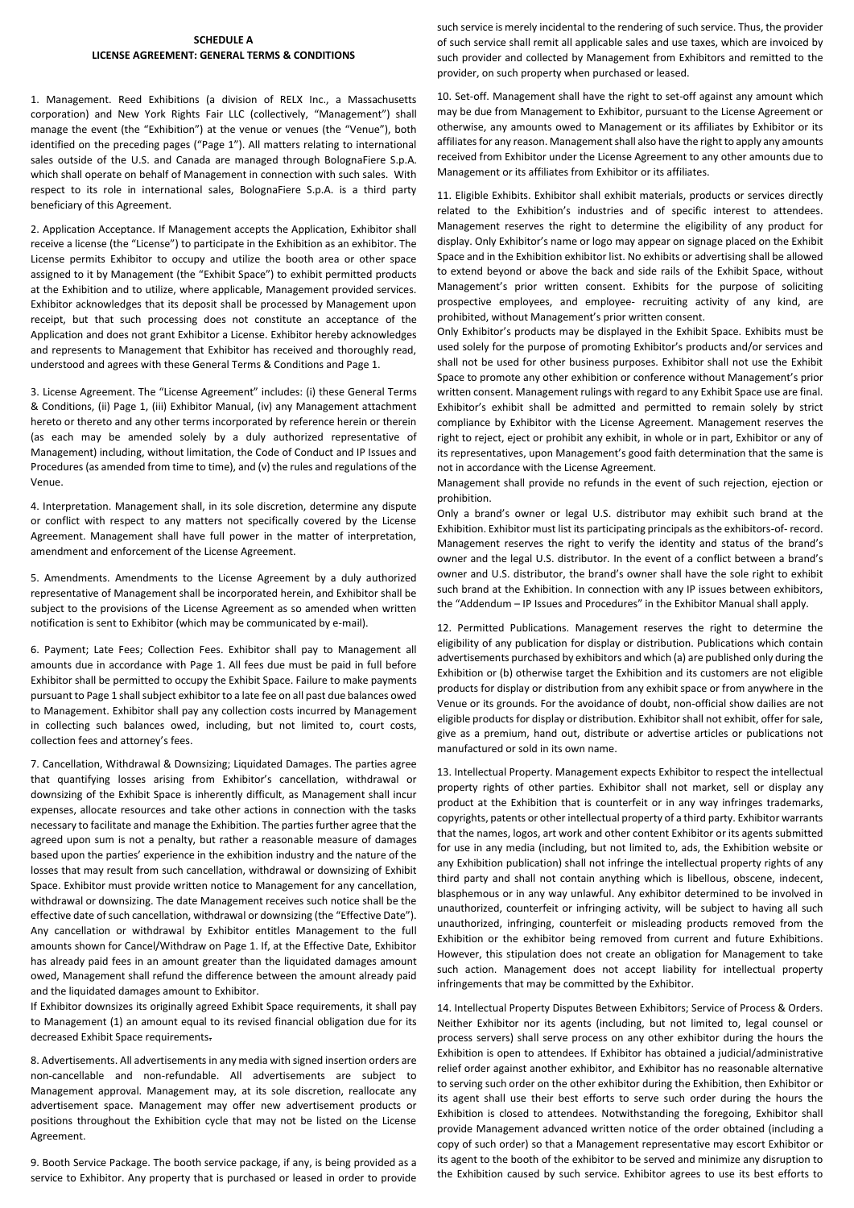## **SCHEDULE A LICENSE AGREEMENT: GENERAL TERMS & CONDITIONS**

1. Management. Reed Exhibitions (a division of RELX Inc., a Massachusetts corporation) and New York Rights Fair LLC (collectively, "Management") shall manage the event (the "Exhibition") at the venue or venues (the "Venue"), both identified on the preceding pages ("Page 1"). All matters relating to international sales outside of the U.S. and Canada are managed through BolognaFiere S.p.A. which shall operate on behalf of Management in connection with such sales. With respect to its role in international sales, BolognaFiere S.p.A. is a third party beneficiary of this Agreement.

2. Application Acceptance. If Management accepts the Application, Exhibitor shall receive a license (the "License") to participate in the Exhibition as an exhibitor. The License permits Exhibitor to occupy and utilize the booth area or other space assigned to it by Management (the "Exhibit Space") to exhibit permitted products at the Exhibition and to utilize, where applicable, Management provided services. Exhibitor acknowledges that its deposit shall be processed by Management upon receipt, but that such processing does not constitute an acceptance of the Application and does not grant Exhibitor a License. Exhibitor hereby acknowledges and represents to Management that Exhibitor has received and thoroughly read, understood and agrees with these General Terms & Conditions and Page 1.

3. License Agreement. The "License Agreement" includes: (i) these General Terms & Conditions, (ii) Page 1, (iii) Exhibitor Manual, (iv) any Management attachment hereto or thereto and any other terms incorporated by reference herein or therein (as each may be amended solely by a duly authorized representative of Management) including, without limitation, the Code of Conduct and IP Issues and Procedures (as amended from time to time), and (v) the rules and regulations of the Venue.

4. Interpretation. Management shall, in its sole discretion, determine any dispute or conflict with respect to any matters not specifically covered by the License Agreement. Management shall have full power in the matter of interpretation, amendment and enforcement of the License Agreement.

5. Amendments. Amendments to the License Agreement by a duly authorized representative of Management shall be incorporated herein, and Exhibitor shall be subject to the provisions of the License Agreement as so amended when written notification is sent to Exhibitor (which may be communicated by e-mail).

6. Payment; Late Fees; Collection Fees. Exhibitor shall pay to Management all amounts due in accordance with Page 1. All fees due must be paid in full before Exhibitor shall be permitted to occupy the Exhibit Space. Failure to make payments pursuant to Page 1 shall subject exhibitor to a late fee on all past due balances owed to Management. Exhibitor shall pay any collection costs incurred by Management in collecting such balances owed, including, but not limited to, court costs, collection fees and attorney's fees.

7. Cancellation, Withdrawal & Downsizing; Liquidated Damages. The parties agree that quantifying losses arising from Exhibitor's cancellation, withdrawal or downsizing of the Exhibit Space is inherently difficult, as Management shall incur expenses, allocate resources and take other actions in connection with the tasks necessary to facilitate and manage the Exhibition. The parties further agree that the agreed upon sum is not a penalty, but rather a reasonable measure of damages based upon the parties' experience in the exhibition industry and the nature of the losses that may result from such cancellation, withdrawal or downsizing of Exhibit Space. Exhibitor must provide written notice to Management for any cancellation, withdrawal or downsizing. The date Management receives such notice shall be the effective date of such cancellation, withdrawal or downsizing (the "Effective Date"). Any cancellation or withdrawal by Exhibitor entitles Management to the full amounts shown for Cancel/Withdraw on Page 1. If, at the Effective Date, Exhibitor has already paid fees in an amount greater than the liquidated damages amount owed, Management shall refund the difference between the amount already paid and the liquidated damages amount to Exhibitor.

If Exhibitor downsizes its originally agreed Exhibit Space requirements, it shall pay to Management (1) an amount equal to its revised financial obligation due for its decreased Exhibit Space requirements.

8. Advertisements. All advertisements in any media with signed insertion orders are non-cancellable and non-refundable. All advertisements are subject to Management approval. Management may, at its sole discretion, reallocate any advertisement space. Management may offer new advertisement products or positions throughout the Exhibition cycle that may not be listed on the License Agreement.

9. Booth Service Package. The booth service package, if any, is being provided as a service to Exhibitor. Any property that is purchased or leased in order to provide such service is merely incidental to the rendering of such service. Thus, the provider of such service shall remit all applicable sales and use taxes, which are invoiced by such provider and collected by Management from Exhibitors and remitted to the provider, on such property when purchased or leased.

10. Set-off. Management shall have the right to set-off against any amount which may be due from Management to Exhibitor, pursuant to the License Agreement or otherwise, any amounts owed to Management or its affiliates by Exhibitor or its affiliates for any reason. Management shall also have the right to apply any amounts received from Exhibitor under the License Agreement to any other amounts due to Management or its affiliates from Exhibitor or its affiliates.

11. Eligible Exhibits. Exhibitor shall exhibit materials, products or services directly related to the Exhibition's industries and of specific interest to attendees. Management reserves the right to determine the eligibility of any product for display. Only Exhibitor's name or logo may appear on signage placed on the Exhibit Space and in the Exhibition exhibitor list. No exhibits or advertising shall be allowed to extend beyond or above the back and side rails of the Exhibit Space, without Management's prior written consent. Exhibits for the purpose of soliciting prospective employees, and employee- recruiting activity of any kind, are prohibited, without Management's prior written consent.

Only Exhibitor's products may be displayed in the Exhibit Space. Exhibits must be used solely for the purpose of promoting Exhibitor's products and/or services and shall not be used for other business purposes. Exhibitor shall not use the Exhibit Space to promote any other exhibition or conference without Management's prior written consent. Management rulings with regard to any Exhibit Space use are final. Exhibitor's exhibit shall be admitted and permitted to remain solely by strict compliance by Exhibitor with the License Agreement. Management reserves the right to reject, eject or prohibit any exhibit, in whole or in part, Exhibitor or any of its representatives, upon Management's good faith determination that the same is not in accordance with the License Agreement.

Management shall provide no refunds in the event of such rejection, ejection or prohibition.

Only a brand's owner or legal U.S. distributor may exhibit such brand at the Exhibition. Exhibitor must list its participating principals as the exhibitors-of- record. Management reserves the right to verify the identity and status of the brand's owner and the legal U.S. distributor. In the event of a conflict between a brand's owner and U.S. distributor, the brand's owner shall have the sole right to exhibit such brand at the Exhibition. In connection with any IP issues between exhibitors, the "Addendum – IP Issues and Procedures" in the Exhibitor Manual shall apply.

12. Permitted Publications. Management reserves the right to determine the eligibility of any publication for display or distribution. Publications which contain advertisements purchased by exhibitors and which (a) are published only during the Exhibition or (b) otherwise target the Exhibition and its customers are not eligible products for display or distribution from any exhibit space or from anywhere in the Venue or its grounds. For the avoidance of doubt, non-official show dailies are not eligible products for display or distribution. Exhibitor shall not exhibit, offer for sale, give as a premium, hand out, distribute or advertise articles or publications not manufactured or sold in its own name.

13. Intellectual Property. Management expects Exhibitor to respect the intellectual property rights of other parties. Exhibitor shall not market, sell or display any product at the Exhibition that is counterfeit or in any way infringes trademarks, copyrights, patents or other intellectual property of a third party. Exhibitor warrants that the names, logos, art work and other content Exhibitor or its agents submitted for use in any media (including, but not limited to, ads, the Exhibition website or any Exhibition publication) shall not infringe the intellectual property rights of any third party and shall not contain anything which is libellous, obscene, indecent, blasphemous or in any way unlawful. Any exhibitor determined to be involved in unauthorized, counterfeit or infringing activity, will be subject to having all such unauthorized, infringing, counterfeit or misleading products removed from the Exhibition or the exhibitor being removed from current and future Exhibitions. However, this stipulation does not create an obligation for Management to take such action. Management does not accept liability for intellectual property infringements that may be committed by the Exhibitor.

14. Intellectual Property Disputes Between Exhibitors; Service of Process & Orders. Neither Exhibitor nor its agents (including, but not limited to, legal counsel or process servers) shall serve process on any other exhibitor during the hours the Exhibition is open to attendees. If Exhibitor has obtained a judicial/administrative relief order against another exhibitor, and Exhibitor has no reasonable alternative to serving such order on the other exhibitor during the Exhibition, then Exhibitor or its agent shall use their best efforts to serve such order during the hours the Exhibition is closed to attendees. Notwithstanding the foregoing, Exhibitor shall provide Management advanced written notice of the order obtained (including a copy of such order) so that a Management representative may escort Exhibitor or its agent to the booth of the exhibitor to be served and minimize any disruption to the Exhibition caused by such service. Exhibitor agrees to use its best efforts to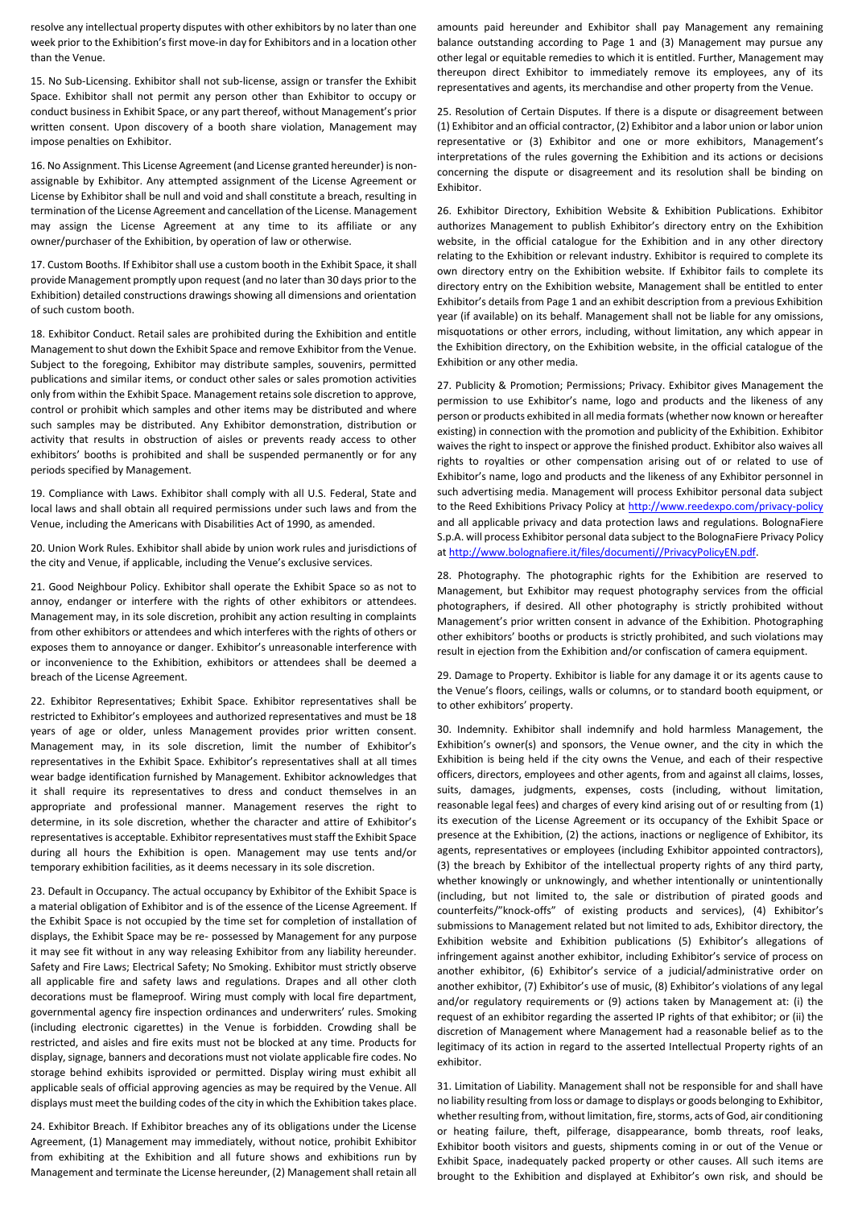resolve any intellectual property disputes with other exhibitors by no later than one week prior to the Exhibition's first move-in day for Exhibitors and in a location other than the Venue.

15. No Sub-Licensing. Exhibitor shall not sub-license, assign or transfer the Exhibit Space. Exhibitor shall not permit any person other than Exhibitor to occupy or conduct business in Exhibit Space, or any part thereof, without Management's prior written consent. Upon discovery of a booth share violation, Management may impose penalties on Exhibitor.

16. No Assignment. This License Agreement (and License granted hereunder) is nonassignable by Exhibitor. Any attempted assignment of the License Agreement or License by Exhibitor shall be null and void and shall constitute a breach, resulting in termination of the License Agreement and cancellation of the License. Management may assign the License Agreement at any time to its affiliate or any owner/purchaser of the Exhibition, by operation of law or otherwise.

17. Custom Booths. If Exhibitor shall use a custom booth in the Exhibit Space, it shall provide Management promptly upon request (and no later than 30 days prior to the Exhibition) detailed constructions drawings showing all dimensions and orientation of such custom booth.

18. Exhibitor Conduct. Retail sales are prohibited during the Exhibition and entitle Management to shut down the Exhibit Space and remove Exhibitor from the Venue. Subject to the foregoing, Exhibitor may distribute samples, souvenirs, permitted publications and similar items, or conduct other sales or sales promotion activities only from within the Exhibit Space. Management retains sole discretion to approve, control or prohibit which samples and other items may be distributed and where such samples may be distributed. Any Exhibitor demonstration, distribution or activity that results in obstruction of aisles or prevents ready access to other exhibitors' booths is prohibited and shall be suspended permanently or for any periods specified by Management.

19. Compliance with Laws. Exhibitor shall comply with all U.S. Federal, State and local laws and shall obtain all required permissions under such laws and from the Venue, including the Americans with Disabilities Act of 1990, as amended.

20. Union Work Rules. Exhibitor shall abide by union work rules and jurisdictions of the city and Venue, if applicable, including the Venue's exclusive services.

21. Good Neighbour Policy. Exhibitor shall operate the Exhibit Space so as not to annoy, endanger or interfere with the rights of other exhibitors or attendees. Management may, in its sole discretion, prohibit any action resulting in complaints from other exhibitors or attendees and which interferes with the rights of others or exposes them to annoyance or danger. Exhibitor's unreasonable interference with or inconvenience to the Exhibition, exhibitors or attendees shall be deemed a breach of the License Agreement.

22. Exhibitor Representatives; Exhibit Space. Exhibitor representatives shall be restricted to Exhibitor's employees and authorized representatives and must be 18 years of age or older, unless Management provides prior written consent. Management may, in its sole discretion, limit the number of Exhibitor's representatives in the Exhibit Space. Exhibitor's representatives shall at all times wear badge identification furnished by Management. Exhibitor acknowledges that it shall require its representatives to dress and conduct themselves in an appropriate and professional manner. Management reserves the right to determine, in its sole discretion, whether the character and attire of Exhibitor's representatives is acceptable. Exhibitor representatives must staff the Exhibit Space during all hours the Exhibition is open. Management may use tents and/or temporary exhibition facilities, as it deems necessary in its sole discretion.

23. Default in Occupancy. The actual occupancy by Exhibitor of the Exhibit Space is a material obligation of Exhibitor and is of the essence of the License Agreement. If the Exhibit Space is not occupied by the time set for completion of installation of displays, the Exhibit Space may be re- possessed by Management for any purpose it may see fit without in any way releasing Exhibitor from any liability hereunder. Safety and Fire Laws; Electrical Safety; No Smoking. Exhibitor must strictly observe all applicable fire and safety laws and regulations. Drapes and all other cloth decorations must be flameproof. Wiring must comply with local fire department, governmental agency fire inspection ordinances and underwriters' rules. Smoking (including electronic cigarettes) in the Venue is forbidden. Crowding shall be restricted, and aisles and fire exits must not be blocked at any time. Products for display, signage, banners and decorations must not violate applicable fire codes. No storage behind exhibits isprovided or permitted. Display wiring must exhibit all applicable seals of official approving agencies as may be required by the Venue. All displays must meet the building codes of the city in which the Exhibition takes place.

24. Exhibitor Breach. If Exhibitor breaches any of its obligations under the License Agreement, (1) Management may immediately, without notice, prohibit Exhibitor from exhibiting at the Exhibition and all future shows and exhibitions run by Management and terminate the License hereunder, (2) Management shall retain all

amounts paid hereunder and Exhibitor shall pay Management any remaining balance outstanding according to Page 1 and (3) Management may pursue any other legal or equitable remedies to which it is entitled. Further, Management may thereupon direct Exhibitor to immediately remove its employees, any of its representatives and agents, its merchandise and other property from the Venue.

25. Resolution of Certain Disputes. If there is a dispute or disagreement between (1) Exhibitor and an official contractor, (2) Exhibitor and a labor union or labor union representative or (3) Exhibitor and one or more exhibitors, Management's interpretations of the rules governing the Exhibition and its actions or decisions concerning the dispute or disagreement and its resolution shall be binding on Exhibitor.

26. Exhibitor Directory, Exhibition Website & Exhibition Publications. Exhibitor authorizes Management to publish Exhibitor's directory entry on the Exhibition website, in the official catalogue for the Exhibition and in any other directory relating to the Exhibition or relevant industry. Exhibitor is required to complete its own directory entry on the Exhibition website. If Exhibitor fails to complete its directory entry on the Exhibition website, Management shall be entitled to enter Exhibitor's details from Page 1 and an exhibit description from a previous Exhibition year (if available) on its behalf. Management shall not be liable for any omissions, misquotations or other errors, including, without limitation, any which appear in the Exhibition directory, on the Exhibition website, in the official catalogue of the Exhibition or any other media.

27. Publicity & Promotion; Permissions; Privacy. Exhibitor gives Management the permission to use Exhibitor's name, logo and products and the likeness of any person or products exhibited in all media formats (whether now known or hereafter existing) in connection with the promotion and publicity of the Exhibition. Exhibitor waives the right to inspect or approve the finished product. Exhibitor also waives all rights to royalties or other compensation arising out of or related to use of Exhibitor's name, logo and products and the likeness of any Exhibitor personnel in such advertising media. Management will process Exhibitor personal data subject to the Reed Exhibitions Privacy Policy at<http://www.reedexpo.com/privacy-policy> and all applicable privacy and data protection laws and regulations. BolognaFiere S.p.A. will process Exhibitor personal data subject to the BolognaFiere Privacy Policy a[t http://www.bolognafiere.it/files/documenti//PrivacyPolicyEN.pdf.](http://www.bolognafiere.it/files/documenti/PrivacyPolicyEN.pdf)

28. Photography. The photographic rights for the Exhibition are reserved to Management, but Exhibitor may request photography services from the official photographers, if desired. All other photography is strictly prohibited without Management's prior written consent in advance of the Exhibition. Photographing other exhibitors' booths or products is strictly prohibited, and such violations may result in ejection from the Exhibition and/or confiscation of camera equipment.

29. Damage to Property. Exhibitor is liable for any damage it or its agents cause to the Venue's floors, ceilings, walls or columns, or to standard booth equipment, or to other exhibitors' property.

30. Indemnity. Exhibitor shall indemnify and hold harmless Management, the Exhibition's owner(s) and sponsors, the Venue owner, and the city in which the Exhibition is being held if the city owns the Venue, and each of their respective officers, directors, employees and other agents, from and against all claims, losses, suits, damages, judgments, expenses, costs (including, without limitation, reasonable legal fees) and charges of every kind arising out of or resulting from (1) its execution of the License Agreement or its occupancy of the Exhibit Space or presence at the Exhibition, (2) the actions, inactions or negligence of Exhibitor, its agents, representatives or employees (including Exhibitor appointed contractors), (3) the breach by Exhibitor of the intellectual property rights of any third party, whether knowingly or unknowingly, and whether intentionally or unintentionally (including, but not limited to, the sale or distribution of pirated goods and counterfeits/"knock-offs" of existing products and services), (4) Exhibitor's submissions to Management related but not limited to ads, Exhibitor directory, the Exhibition website and Exhibition publications (5) Exhibitor's allegations of infringement against another exhibitor, including Exhibitor's service of process on another exhibitor, (6) Exhibitor's service of a judicial/administrative order on another exhibitor, (7) Exhibitor's use of music, (8) Exhibitor's violations of any legal and/or regulatory requirements or (9) actions taken by Management at: (i) the request of an exhibitor regarding the asserted IP rights of that exhibitor; or (ii) the discretion of Management where Management had a reasonable belief as to the legitimacy of its action in regard to the asserted Intellectual Property rights of an exhibitor.

31. Limitation of Liability. Management shall not be responsible for and shall have no liability resulting from loss or damage to displays or goods belonging to Exhibitor, whether resulting from, without limitation, fire, storms, acts of God, air conditioning or heating failure, theft, pilferage, disappearance, bomb threats, roof leaks, Exhibitor booth visitors and guests, shipments coming in or out of the Venue or Exhibit Space, inadequately packed property or other causes. All such items are brought to the Exhibition and displayed at Exhibitor's own risk, and should be